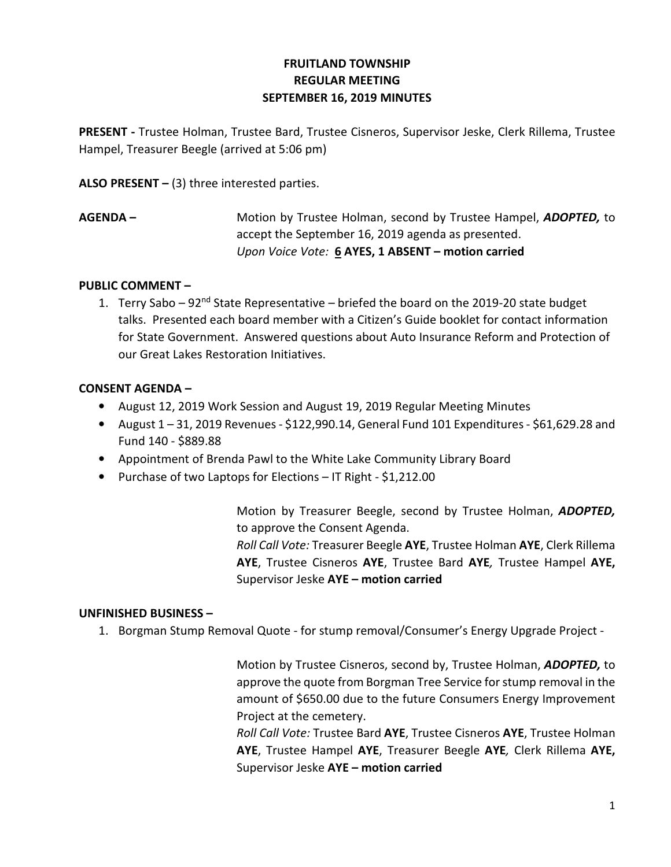# FRUITLAND TOWNSHIP REGULAR MEETING SEPTEMBER 16, 2019 MINUTES

PRESENT - Trustee Holman, Trustee Bard, Trustee Cisneros, Supervisor Jeske, Clerk Rillema, Trustee Hampel, Treasurer Beegle (arrived at 5:06 pm)

ALSO PRESENT  $-$  (3) three interested parties.

AGENDA – Motion by Trustee Holman, second by Trustee Hampel, ADOPTED, to accept the September 16, 2019 agenda as presented. Upon Voice Vote: 6 AYES, 1 ABSENT - motion carried

### PUBLIC COMMENT –

1. Terry Sabo – 92<sup>nd</sup> State Representative – briefed the board on the 2019-20 state budget talks. Presented each board member with a Citizen's Guide booklet for contact information for State Government. Answered questions about Auto Insurance Reform and Protection of our Great Lakes Restoration Initiatives.

## CONSENT AGENDA –

- August 12, 2019 Work Session and August 19, 2019 Regular Meeting Minutes
- August  $1 31$ , 2019 Revenues \$122,990.14, General Fund 101 Expenditures \$61,629.28 and Fund 140 - \$889.88
- Appointment of Brenda Pawl to the White Lake Community Library Board
- Purchase of two Laptops for Elections IT Right \$1,212.00

 Motion by Treasurer Beegle, second by Trustee Holman, ADOPTED, to approve the Consent Agenda. Roll Call Vote: Treasurer Beegle AYE, Trustee Holman AYE, Clerk Rillema AYE, Trustee Cisneros AYE, Trustee Bard AYE, Trustee Hampel AYE, Supervisor Jeske AYE – motion carried

### UNFINISHED BUSINESS –

1. Borgman Stump Removal Quote - for stump removal/Consumer's Energy Upgrade Project -

Motion by Trustee Cisneros, second by, Trustee Holman, ADOPTED, to approve the quote from Borgman Tree Service for stump removal in the amount of \$650.00 due to the future Consumers Energy Improvement Project at the cemetery.

Roll Call Vote: Trustee Bard AYE, Trustee Cisneros AYE, Trustee Holman AYE, Trustee Hampel AYE, Treasurer Beegle AYE, Clerk Rillema AYE, Supervisor Jeske AYE – motion carried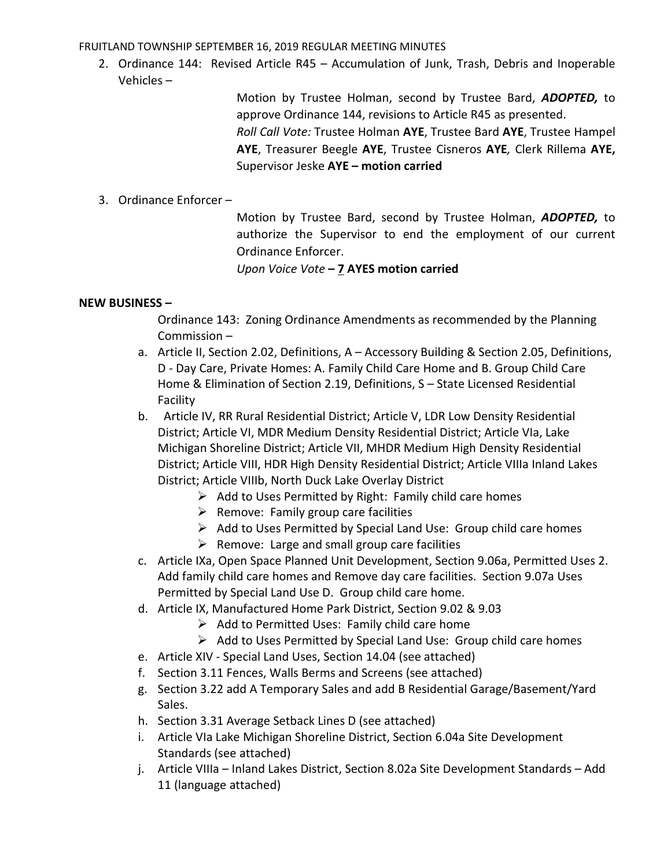FRUITLAND TOWNSHIP SEPTEMBER 16, 2019 REGULAR MEETING MINUTES

2. Ordinance 144: Revised Article R45 – Accumulation of Junk, Trash, Debris and Inoperable Vehicles –

> Motion by Trustee Holman, second by Trustee Bard, ADOPTED, to approve Ordinance 144, revisions to Article R45 as presented. Roll Call Vote: Trustee Holman AYE, Trustee Bard AYE, Trustee Hampel AYE, Treasurer Beegle AYE, Trustee Cisneros AYE, Clerk Rillema AYE, Supervisor Jeske AYE – motion carried

#### 3. Ordinance Enforcer –

Motion by Trustee Bard, second by Trustee Holman, ADOPTED, to authorize the Supervisor to end the employment of our current Ordinance Enforcer.

Upon Voice Vote – 7 AYES motion carried

#### NEW BUSINESS –

Ordinance 143: Zoning Ordinance Amendments as recommended by the Planning Commission –

- a. Article II, Section 2.02, Definitions, A Accessory Building & Section 2.05, Definitions, D - Day Care, Private Homes: A. Family Child Care Home and B. Group Child Care Home & Elimination of Section 2.19, Definitions, S – State Licensed Residential Facility
- b. Article IV, RR Rural Residential District; Article V, LDR Low Density Residential District; Article VI, MDR Medium Density Residential District; Article VIa, Lake Michigan Shoreline District; Article VII, MHDR Medium High Density Residential District; Article VIII, HDR High Density Residential District; Article VIIIa Inland Lakes District; Article VIIIb, North Duck Lake Overlay District
	- $\triangleright$  Add to Uses Permitted by Right: Family child care homes
	- $\triangleright$  Remove: Family group care facilities
	- $\triangleright$  Add to Uses Permitted by Special Land Use: Group child care homes
	- $\triangleright$  Remove: Large and small group care facilities
- c. Article IXa, Open Space Planned Unit Development, Section 9.06a, Permitted Uses 2. Add family child care homes and Remove day care facilities. Section 9.07a Uses Permitted by Special Land Use D. Group child care home.
- d. Article IX, Manufactured Home Park District, Section 9.02 & 9.03
	- $\triangleright$  Add to Permitted Uses: Family child care home
	- $\triangleright$  Add to Uses Permitted by Special Land Use: Group child care homes
- e. Article XIV Special Land Uses, Section 14.04 (see attached)
- f. Section 3.11 Fences, Walls Berms and Screens (see attached)
- g. Section 3.22 add A Temporary Sales and add B Residential Garage/Basement/Yard Sales.
- h. Section 3.31 Average Setback Lines D (see attached)
- i. Article VIa Lake Michigan Shoreline District, Section 6.04a Site Development Standards (see attached)
- j. Article VIIIa Inland Lakes District, Section 8.02a Site Development Standards Add 11 (language attached)